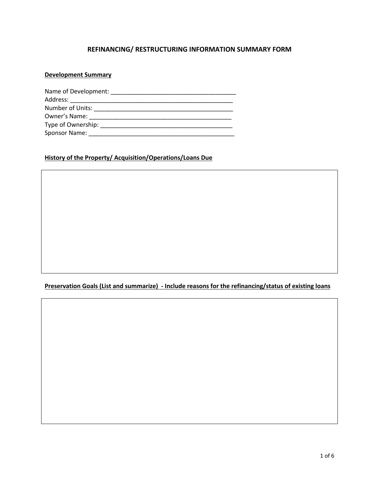### **REFINANCING/ RESTRUCTURING INFORMATION SUMMARY FORM**

### **Development Summary**

| Name of Development: |  |
|----------------------|--|
| Address:             |  |
| Number of Units:     |  |
| Owner's Name:        |  |
| Type of Ownership:   |  |
| <b>Sponsor Name:</b> |  |

## **History of the Property/ Acquisition/Operations/Loans Due**

### **Preservation Goals (List and summarize) - Include reasons for the refinancing/status of existing loans**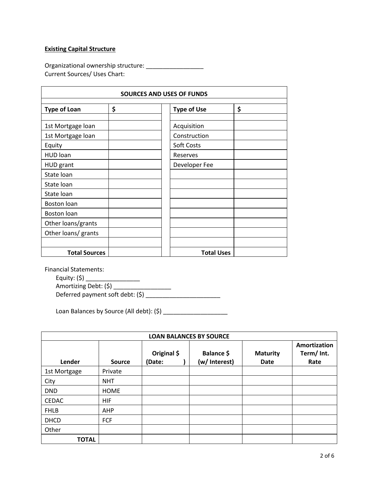#### **Existing Capital Structure**

Organizational ownership structure: \_\_\_\_\_\_\_\_\_\_\_\_\_\_\_\_\_ Current Sources/ Uses Chart:

| <b>SOURCES AND USES OF FUNDS</b> |    |  |                    |    |
|----------------------------------|----|--|--------------------|----|
| <b>Type of Loan</b>              | \$ |  | <b>Type of Use</b> | \$ |
| 1st Mortgage loan                |    |  | Acquisition        |    |
| 1st Mortgage loan                |    |  | Construction       |    |
| Equity                           |    |  | Soft Costs         |    |
| <b>HUD loan</b>                  |    |  | Reserves           |    |
| <b>HUD</b> grant                 |    |  | Developer Fee      |    |
| State loan                       |    |  |                    |    |
| State loan                       |    |  |                    |    |
| State Ioan                       |    |  |                    |    |
| Boston loan                      |    |  |                    |    |
| Boston loan                      |    |  |                    |    |
| Other loans/grants               |    |  |                    |    |
| Other loans/ grants              |    |  |                    |    |
|                                  |    |  |                    |    |
| <b>Total Sources</b>             |    |  | <b>Total Uses</b>  |    |

Financial Statements:

 $\frac{2\sqrt{2\pi i (3)}}{\text{Amortizing Debt: (5)}}$ Amortizing Debt: (\$) \_\_\_\_\_\_\_\_\_\_\_\_\_\_\_\_\_\_\_ Deferred payment soft debt: (\$) \_\_\_\_\_\_\_\_\_\_\_\_\_\_\_\_\_\_\_\_\_\_

Loan Balances by Source (All debt): (\$) \_\_\_\_\_\_\_\_\_\_\_\_\_\_\_\_\_\_\_

| <b>LOAN BALANCES BY SOURCE</b> |               |                       |                             |                         |                                    |
|--------------------------------|---------------|-----------------------|-----------------------------|-------------------------|------------------------------------|
| Lender                         | <b>Source</b> | Original \$<br>(Date: | Balance \$<br>(w/ Interest) | <b>Maturity</b><br>Date | Amortization<br>Term/ Int.<br>Rate |
| 1st Mortgage                   | Private       |                       |                             |                         |                                    |
| City                           | <b>NHT</b>    |                       |                             |                         |                                    |
| <b>DND</b>                     | <b>HOME</b>   |                       |                             |                         |                                    |
| <b>CEDAC</b>                   | HIF           |                       |                             |                         |                                    |
| <b>FHLB</b>                    | AHP           |                       |                             |                         |                                    |
| <b>DHCD</b>                    | FCF           |                       |                             |                         |                                    |
| Other                          |               |                       |                             |                         |                                    |
| <b>TOTAL</b>                   |               |                       |                             |                         |                                    |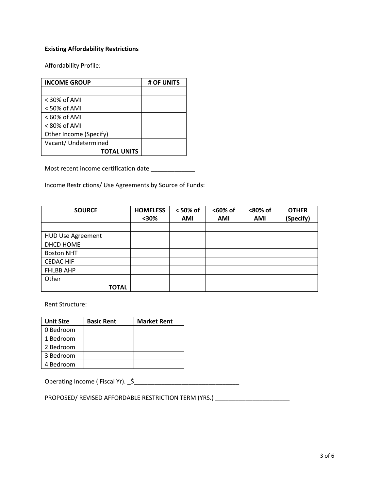### **Existing Affordability Restrictions**

Affordability Profile:

| <b>INCOME GROUP</b>    | # OF UNITS |
|------------------------|------------|
|                        |            |
| $<$ 30% of AMI         |            |
| $<$ 50% of AMI         |            |
| $< 60\%$ of AMI        |            |
| < 80% of AMI           |            |
| Other Income (Specify) |            |
| Vacant/ Undetermined   |            |
| <b>TOTAL UNITS</b>     |            |

Most recent income certification date \_\_\_\_\_\_\_\_\_\_\_\_\_\_

Income Restrictions/ Use Agreements by Source of Funds:

| <b>SOURCE</b>            | <b>HOMELESS</b><br>$30%$ | < 50% of<br>AMI | <60% of<br>AMI | <80% of<br>AMI | <b>OTHER</b><br>(Specify) |
|--------------------------|--------------------------|-----------------|----------------|----------------|---------------------------|
|                          |                          |                 |                |                |                           |
| <b>HUD Use Agreement</b> |                          |                 |                |                |                           |
| DHCD HOME                |                          |                 |                |                |                           |
| <b>Boston NHT</b>        |                          |                 |                |                |                           |
| <b>CEDAC HIF</b>         |                          |                 |                |                |                           |
| <b>FHLBB AHP</b>         |                          |                 |                |                |                           |
| Other                    |                          |                 |                |                |                           |
| <b>TOTAL</b>             |                          |                 |                |                |                           |

Rent Structure:

| <b>Unit Size</b> | <b>Basic Rent</b> | <b>Market Rent</b> |
|------------------|-------------------|--------------------|
| 0 Bedroom        |                   |                    |
| 1 Bedroom        |                   |                    |
| 2 Bedroom        |                   |                    |
| 3 Bedroom        |                   |                    |
| 4 Bedroom        |                   |                    |

Operating Income ( Fiscal Yr). \_\$\_\_\_\_\_\_\_\_\_\_\_\_\_\_\_\_\_\_\_\_\_\_\_\_\_\_\_\_\_\_\_

PROPOSED/ REVISED AFFORDABLE RESTRICTION TERM (YRS.) \_\_\_\_\_\_\_\_\_\_\_\_\_\_\_\_\_\_\_\_\_\_\_\_\_\_\_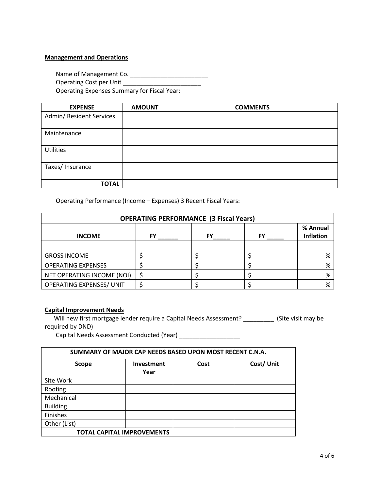#### **Management and Operations**

Name of Management Co. \_\_\_\_\_\_\_\_\_\_\_\_\_\_\_\_\_\_\_\_\_\_\_

Operating Cost per Unit Letter and Containing Cost per Unit

Operating Expenses Summary for Fiscal Year:

| <b>EXPENSE</b>           | <b>AMOUNT</b> | <b>COMMENTS</b> |
|--------------------------|---------------|-----------------|
| Admin/ Resident Services |               |                 |
|                          |               |                 |
| Maintenance              |               |                 |
|                          |               |                 |
| <b>Utilities</b>         |               |                 |
|                          |               |                 |
| Taxes/ Insurance         |               |                 |
|                          |               |                 |
| <b>TOTAL</b>             |               |                 |

Operating Performance (Income – Expenses) 3 Recent Fiscal Years:

| <b>OPERATING PERFORMANCE (3 Fiscal Years)</b> |    |  |    |                              |
|-----------------------------------------------|----|--|----|------------------------------|
| <b>INCOME</b>                                 | FY |  | FY | % Annual<br><b>Inflation</b> |
|                                               |    |  |    |                              |
| <b>GROSS INCOME</b>                           |    |  |    | %                            |
| <b>OPERATING EXPENSES</b>                     |    |  |    | %                            |
| NET OPERATING INCOME (NOI)                    |    |  |    | %                            |
| <b>OPERATING EXPENSES/ UNIT</b>               |    |  |    | %                            |

#### **Capital Improvement Needs**

Will new first mortgage lender require a Capital Needs Assessment? \_\_\_\_\_\_\_\_\_\_\_ (Site visit may be required by DND)

Capital Needs Assessment Conducted (Year) \_\_\_\_\_\_\_\_\_\_\_\_\_\_\_\_\_\_

| SUMMARY OF MAJOR CAP NEEDS BASED UPON MOST RECENT C.N.A. |                           |      |           |  |
|----------------------------------------------------------|---------------------------|------|-----------|--|
| <b>Scope</b>                                             | <b>Investment</b><br>Year | Cost | Cost/Unit |  |
| Site Work                                                |                           |      |           |  |
| Roofing                                                  |                           |      |           |  |
| Mechanical                                               |                           |      |           |  |
| <b>Building</b>                                          |                           |      |           |  |
| Finishes                                                 |                           |      |           |  |
| Other (List)                                             |                           |      |           |  |
| <b>TOTAL CAPITAL IMPROVEMENTS</b>                        |                           |      |           |  |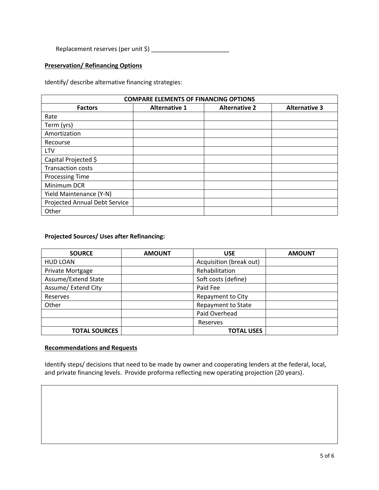Replacement reserves (per unit \$) \_\_\_\_\_\_\_\_\_\_\_\_\_\_\_\_\_\_\_\_\_\_\_

#### **Preservation/ Refinancing Options**

Identify/ describe alternative financing strategies:

| <b>COMPARE ELEMENTS OF FINANCING OPTIONS</b> |                      |                      |                      |  |
|----------------------------------------------|----------------------|----------------------|----------------------|--|
| <b>Factors</b>                               | <b>Alternative 1</b> | <b>Alternative 2</b> | <b>Alternative 3</b> |  |
| Rate                                         |                      |                      |                      |  |
| Term (yrs)                                   |                      |                      |                      |  |
| Amortization                                 |                      |                      |                      |  |
| Recourse                                     |                      |                      |                      |  |
| LTV                                          |                      |                      |                      |  |
| Capital Projected \$                         |                      |                      |                      |  |
| <b>Transaction costs</b>                     |                      |                      |                      |  |
| <b>Processing Time</b>                       |                      |                      |                      |  |
| Minimum DCR                                  |                      |                      |                      |  |
| Yield Maintenance (Y-N)                      |                      |                      |                      |  |
| <b>Projected Annual Debt Service</b>         |                      |                      |                      |  |
| Other                                        |                      |                      |                      |  |

# **Projected Sources/ Uses after Refinancing:**

| <b>SOURCE</b>        | <b>AMOUNT</b> | <b>USE</b>                | <b>AMOUNT</b> |
|----------------------|---------------|---------------------------|---------------|
| <b>HUD LOAN</b>      |               | Acquisition (break out)   |               |
| Private Mortgage     |               | Rehabilitation            |               |
| Assume/Extend State  |               | Soft costs (define)       |               |
| Assume/ Extend City  |               | Paid Fee                  |               |
| Reserves             |               | Repayment to City         |               |
| Other                |               | <b>Repayment to State</b> |               |
|                      |               | Paid Overhead             |               |
|                      |               | Reserves                  |               |
| <b>TOTAL SOURCES</b> |               | <b>TOTAL USES</b>         |               |

#### **Recommendations and Requests**

Identify steps/ decisions that need to be made by owner and cooperating lenders at the federal, local, and private financing levels. Provide proforma reflecting new operating projection (20 years).